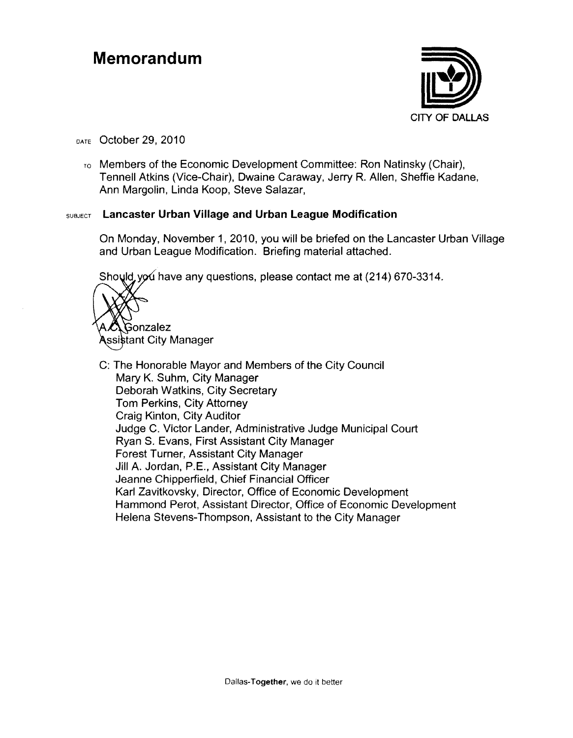#### **Memorandum**



#### DATE October 29, 2010

 $T<sub>0</sub>$  Members of the Economic Development Committee: Ron Natinsky (Chair), Tennell Atkins (Vice-Chair), Dwaine Caraway, Jerry R. Allen, Sheffie Kadane, Ann Margolin, Linda Koop, Steve Salazar,

#### SUBJECT **Lancaster Urban Village and Urban League Modification**

On Monday, November 1,2010, you will be briefed on the Lancaster Urban Village and Urban League Modification. Briefing material attached.

Should you have any questions, please contact me at (214) 670-3314.



C: The Honorable Mayor and Members of the City Council Mary K. Suhm, City Manager Deborah Watkins, City Secretary Tom Perkins, City Attorney Craig Kinton, City Auditor Judge C. Victor Lander, Administrative Judge Municipal Court Ryan S. Evans, First Assistant City Manager Forest Turner, Assistant City Manager Jill A. Jordan, P.E., Assistant City Manager Jeanne Chipperfield, Chief Financial Officer Karl Zavitkovsky, Director, Office of Economic Development Hammond Perot. Assistant Director, Office of Economic Development Helena Stevens-Thompson. Assistant to the City Manager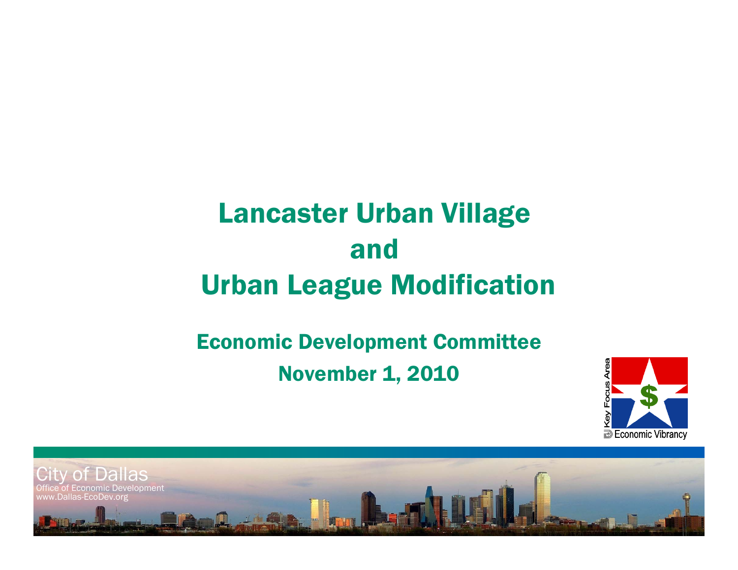# Lancaster Urban Village and Urban League Modification

## Economic Development Committee November 1, 2010



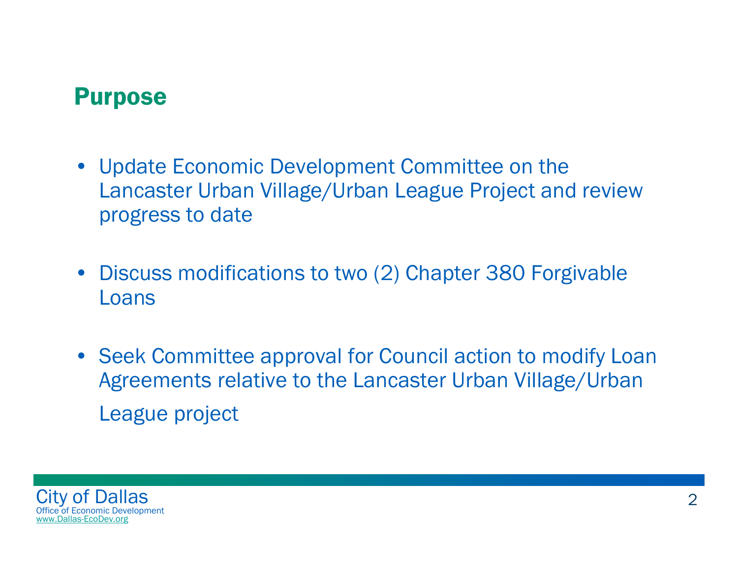#### Purpose

- Update Economic Development Committee on the Lancaster Urban Village/Urban League Project and review progress to date
- Discuss modifications to two (2) Chapter 380 Forgivable Loans
- Seek Committee approval for Council action to modify Loan Agreements relative to the Lancaster Urban Village/Urban League project

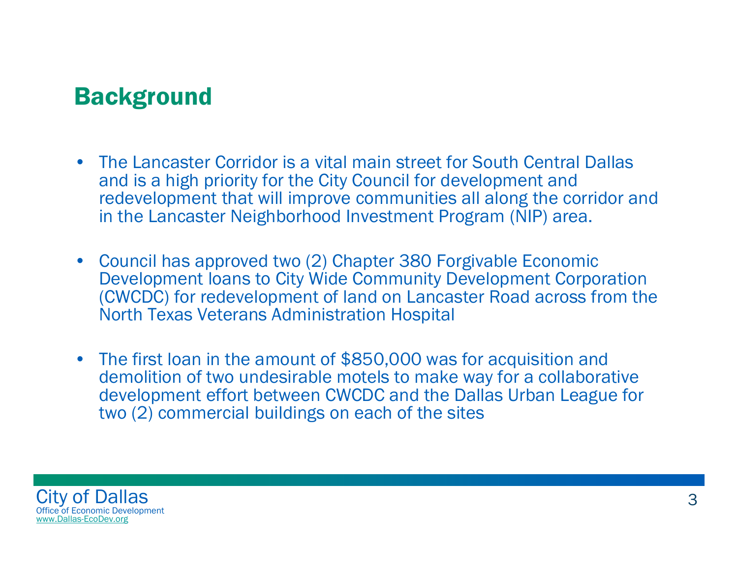#### **Background**

- The Lancaster Corridor is a vital main street for South Central Dallas and is a high priority for the City Council for development and redevelopment that will improve communities all along the corridor and in the Lancaster Neighborhood Investment Program (NIP) area.
- Council has approved two (2) Chapter 380 Forgivable Economic Development loans to City Wide Community Development Corporation (CWCDC) for redevelopment of land on Lancaster Road across from the North Texas Veterans Administration Hospital
- The first loan in the amount of \$850,000 was for acquisition and demolition of two undesirable motels to make way for a collaborative development effort between CWCDC and the Dallas Urban League for two (2) commercial buildings on each of the sites

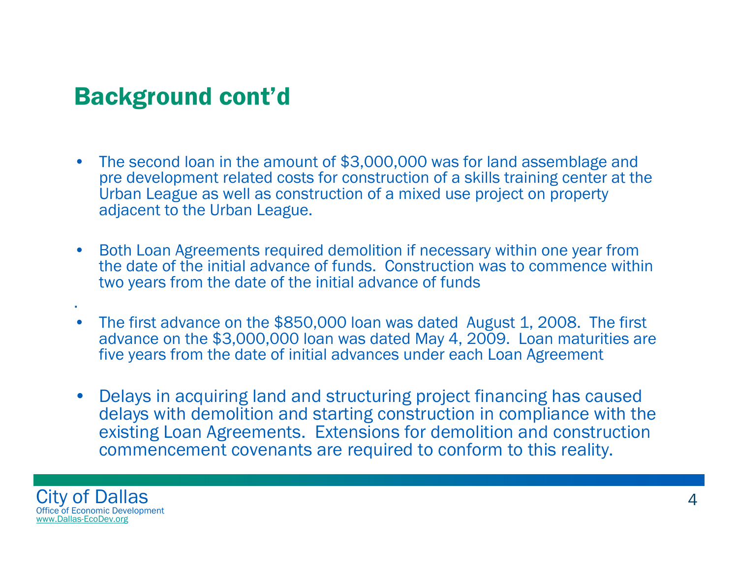#### Background cont'd

- • The second loan in the amount of \$3,000,000 was for land assemblage and pre development related costs for construction of a skills training center at the Urban League as well as construction of a mixed use project on property adjacent to the Urban League.
- • Both Loan Agreements required demolition if necessary within one year from the date of the initial advance of funds. Construction was to commence within two years from the date of the initial advance of funds
- • The first advance on the \$850,000 loan was dated August 1, 2008. The first advance on the \$3,000,000 loan was dated May 4, 2009. Loan maturities are five years from the date of initial advances under each Loan Agreement
- • Delays in acquiring land and structuring project financing has caused delays with demolition and starting construction in compliance with the existing Loan Agreements. Extensions for demolition and construction commencement covenants are required to conform to this reality.



.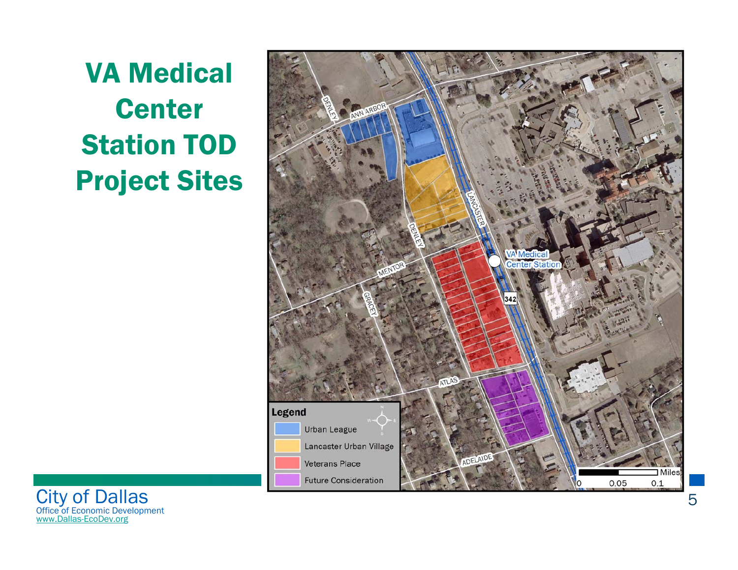VA Medical **Center** Station TOD Project Sites



City of Dallas Office of Economic Development www.Dallas-EcoDev.org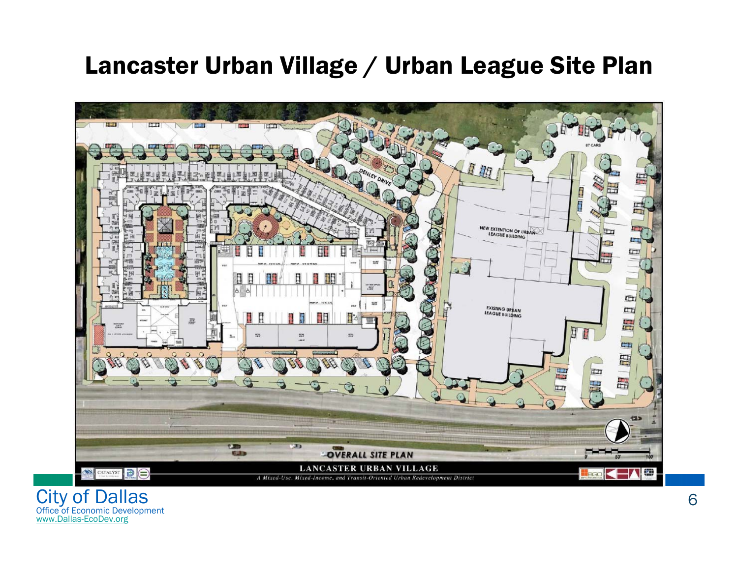#### Lancaster Urban Village / Urban League Site Plan



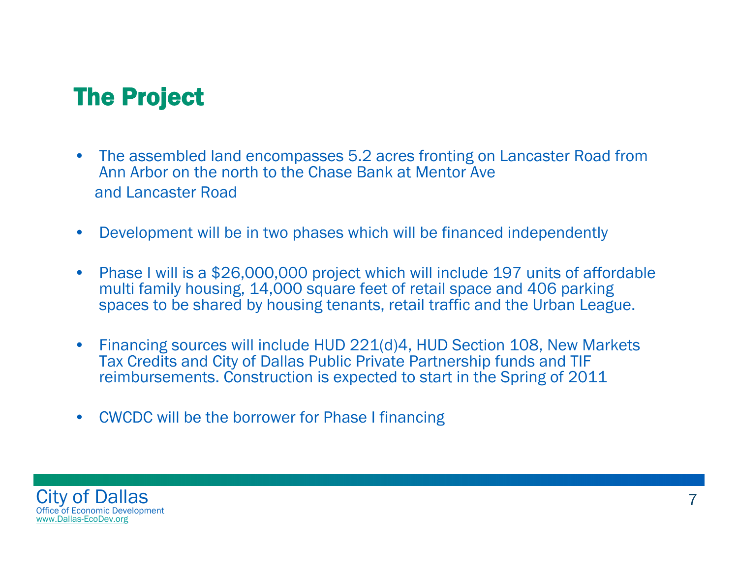#### The Project

- • The assembled land encompasses 5.2 acres fronting on Lancaster Road from Ann Arbor on the north to the Chase Bank at Mentor Aveand Lancaster Road
- $\bullet$ Development will be in two phases which will be financed independently
- $\bullet$  Phase I will is a \$26,000,000 project which will include 197 units of affordable multi family housing, 14,000 square feet of retail space and 406 parking spaces to be shared by housing tenants, retail traffic and the Urban League.
- • Financing sources will include HUD 221(d)4, HUD Section 108, New Markets Tax Credits and City of Dallas Public Private Partnership funds and TIF reimbursements. Construction is expected to start in the Spring of 2011
- •CWCDC will be the borrower for Phase I financing

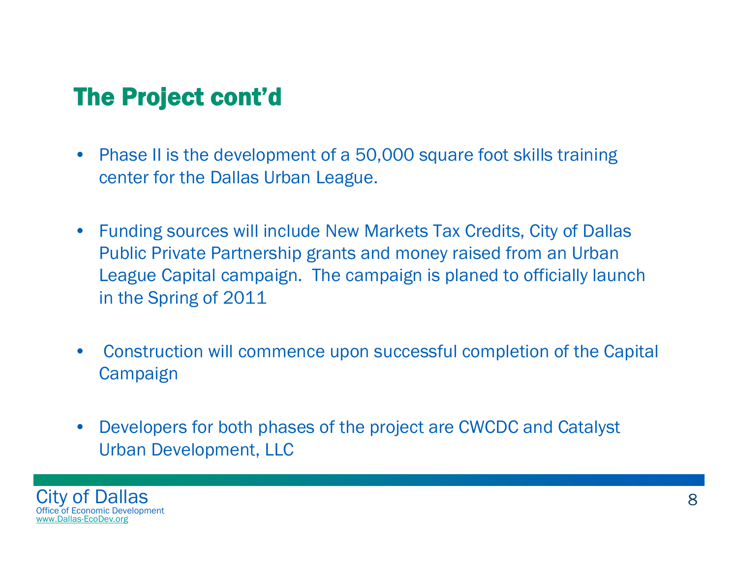### The Project cont'd

- • Phase II is the development of a 50,000 square foot skills training center for the Dallas Urban League.
- • Funding sources will include New Markets Tax Credits, City of Dallas Public Private Partnership grants and money raised from an Urban League Capital campaign. The campaign is planed to officially launch in the Spring of 2011
- • Construction will commence upon successful completion of the Capital Campaign
- $\bullet$  Developers for both phases of the project are CWCDC and Catalyst Urban Development, LLC

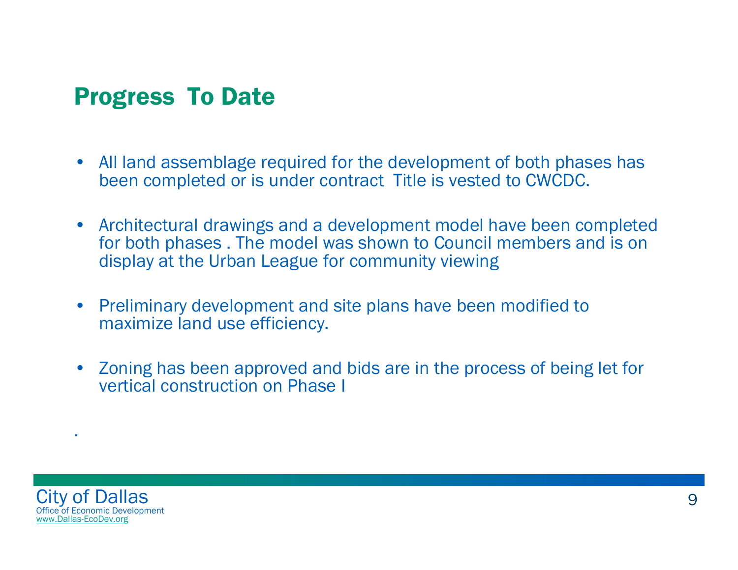#### Progress To Date

- All land assemblage required for the development of both phases has been completed or is under contract Title is vested to CWCDC.
- Architectural drawings and a development model have been completed for both phases . The model was shown to Council members and is on display at the Urban League for community viewing
- $\bullet$  Preliminary development and site plans have been modified to maximize land use efficiency.
- • Zoning has been approved and bids are in the process of being let for vertical construction on Phase I



.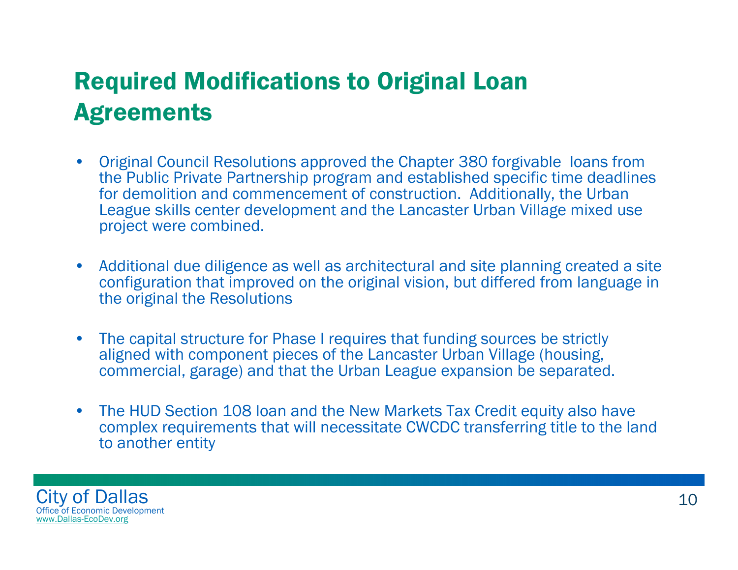## Required Modifications to Original Loan **Agreements**

- • Original Council Resolutions approved the Chapter 380 forgivable loans from the Public Private Partnership program and established specific time deadlines for demolition and commencement of construction. Additionally, the Urban League skills center development and the Lancaster Urban Village mixed use project were combined.
- • Additional due diligence as well as architectural and site planning created a site configuration that improved on the original vision, but differed from language in the original the Resolutions
- • The capital structure for Phase I requires that funding sources be strictly aligned with component pieces of the Lancaster Urban Village (housing, commercial, garage) and that the Urban League expansion be separated.
- • The HUD Section 108 loan and the New Markets Tax Credit equity also have complex requirements that will necessitate CWCDC transferring title to the land to another entity

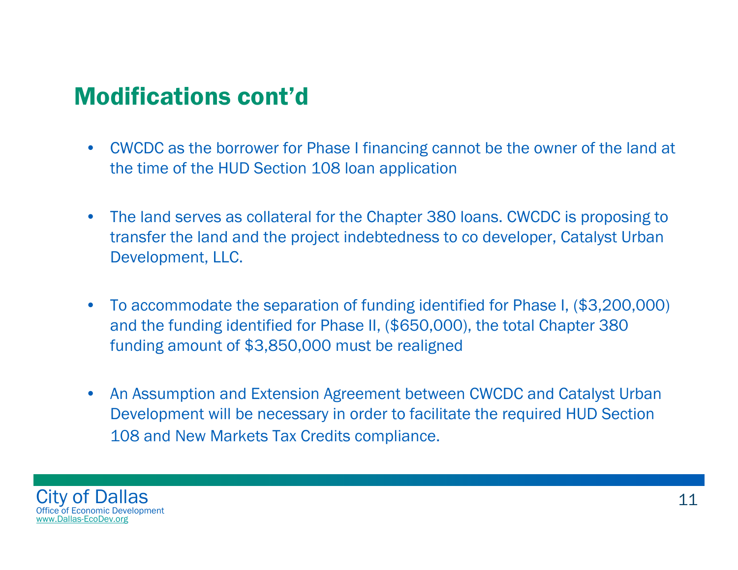#### Modifications cont'd

- $\bullet$  CWCDC as the borrower for Phase I financing cannot be the owner of the land at the time of the HUD Section 108 loan application
- • The land serves as collateral for the Chapter 380 loans. CWCDC is proposing to transfer the land and the project indebtedness to co developer, Catalyst Urban Development, LLC.
- • To accommodate the separation of funding identified for Phase I, (\$3,200,000) and the funding identified for Phase II, (\$650,000), the total Chapter 380 funding amount of \$3,850,000 must be realigned
- $\bullet$  An Assumption and Extension Agreement between CWCDC and Catalyst Urban Development will be necessary in order to facilitate the required HUD Section 108 and New Markets Tax Credits compliance.

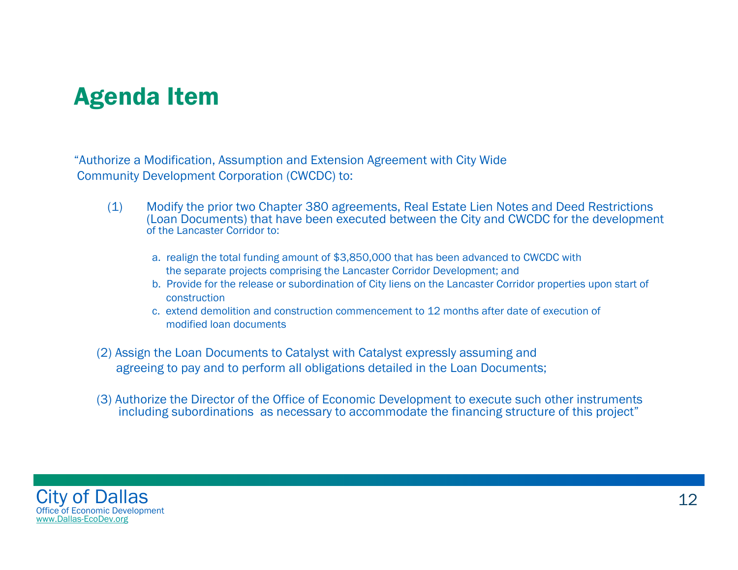#### Agenda Item

"Authorize a Modification, Assumption and Extension Agreement with City Wide Community Development Corporation (CWCDC) to:

- (1) Modify the prior two Chapter 380 agreements, Real Estate Lien Notes and Deed Restrictions (Loan Documents) that have been executed between the City and CWCDC for the development of the Lancaster Corridor to:
	- a. realign the total funding amount of \$3,850,000 that has been advanced to CWCDC with the separate projects comprising the Lancaster Corridor Development; and
	- b. Provide for the release or subordination of City liens on the Lancaster Corridor properties upon start of construction
	- c. extend demolition and construction commencement to 12 months after date of execution of modified loan documents
- (2) Assign the Loan Documents to Catalyst with Catalyst expressly assuming and agreeing to pay and to perform all obligations detailed in the Loan Documents;
- (3) Authorize the Director of the Office of Economic Development to execute such other instruments including subordinations as necessary to accommodate the financing structure of this project"